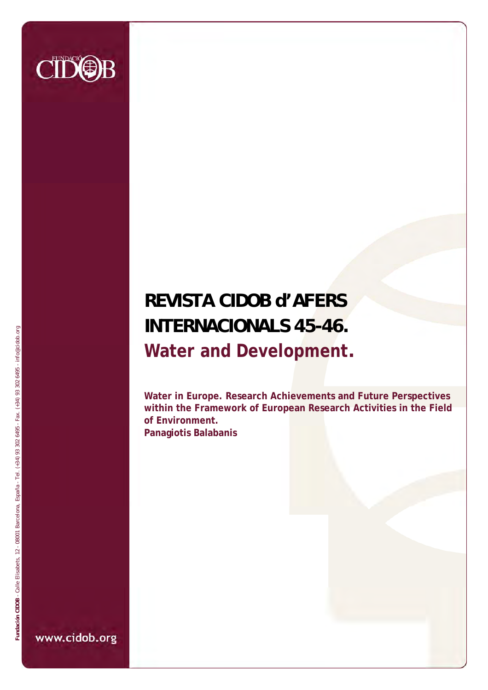

# **REVISTA CIDOB d'AFERS INTERNACIONALS 45-46.**  Water and Development.

**Water in Europe. Research Achievements and Future Perspectives within the Framework of European Research Activities in the Field of Environment. Panagiotis Balabanis**

Fundación CIDOB - Calle Elisabets, 12 - 08001 Barcelona, España - Tel. (+34) 93 302 6495 - Fax. (+34) 93 302 6495 - Info@cidob.org **Fundación CIDOB** - Calle Elisabets, 12 - 08001 Barcelona, España - Tel. (+34) 93 302 6495 - Fax. (+34) 93 302 6495 - info@cidob.org

www.cidob.org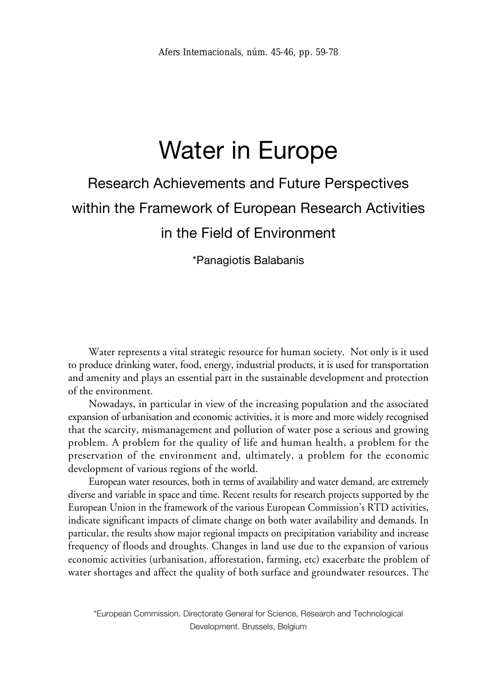# Water in Europe

### Research Achievements and Future Perspectives within the Framework of European Research Activities in the Field of Environment

\*Panagiotis Balabanis

Water represents a vital strategic resource for human society. Not only is it used to produce drinking water, food, energy, industrial products, it is used for transportation and amenity and plays an essential part in the sustainable development and protection of the environment.

Nowadays, in particular in view of the increasing population and the associated expansion of urbanisation and economic activities, it is more and more widely recognised that the scarcity, mismanagement and pollution of water pose a serious and growing problem. A problem for the quality of life and human health, a problem for the preservation of the environment and, ultimately, a problem for the economic development of various regions of the world.

European water resources, both in terms of availability and water demand, are extremely diverse and variable in space and time. Recent results for research projects supported by the European Union in the framework of the various European Commission's RTD activities, indicate significant impacts of climate change on both water availability and demands. In particular, the results show major regional impacts on precipitation variability and increase frequency of floods and droughts. Changes in land use due to the expansion of various economic activities (urbanisation, afforestation, farming, etc) exacerbate the problem of water shortages and affect the quality of both surface and groundwater resources. The

\*European Commission. Directorate General for Science, Research and Technological Development. Brussels, Belgium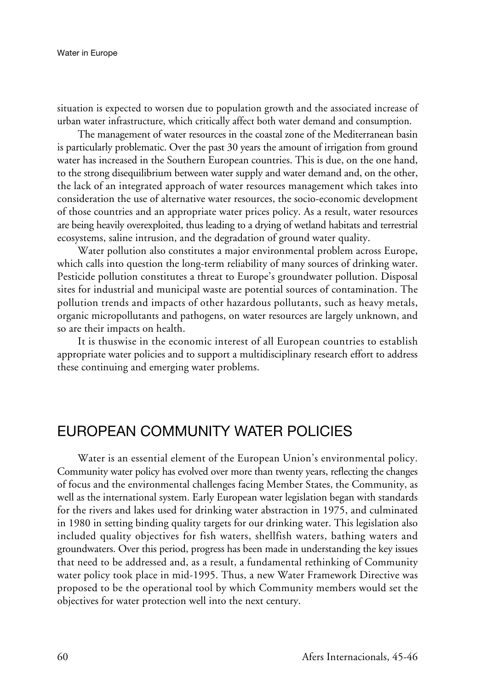situation is expected to worsen due to population growth and the associated increase of urban water infrastructure, which critically affect both water demand and consumption.

The management of water resources in the coastal zone of the Mediterranean basin is particularly problematic. Over the past 30 years the amount of irrigation from ground water has increased in the Southern European countries. This is due, on the one hand, to the strong disequilibrium between water supply and water demand and, on the other, the lack of an integrated approach of water resources management which takes into consideration the use of alternative water resources, the socio-economic development of those countries and an appropriate water prices policy. As a result, water resources are being heavily overexploited, thus leading to a drying of wetland habitats and terrestrial ecosystems, saline intrusion, and the degradation of ground water quality.

Water pollution also constitutes a major environmental problem across Europe, which calls into question the long-term reliability of many sources of drinking water. Pesticide pollution constitutes a threat to Europe's groundwater pollution. Disposal sites for industrial and municipal waste are potential sources of contamination. The pollution trends and impacts of other hazardous pollutants, such as heavy metals, organic micropollutants and pathogens, on water resources are largely unknown, and so are their impacts on health.

It is thuswise in the economic interest of all European countries to establish appropriate water policies and to support a multidisciplinary research effort to address these continuing and emerging water problems.

### EUROPEAN COMMUNITY WATER POLICIES

Water is an essential element of the European Union's environmental policy. Community water policy has evolved over more than twenty years, reflecting the changes of focus and the environmental challenges facing Member States, the Community, as well as the international system. Early European water legislation began with standards for the rivers and lakes used for drinking water abstraction in 1975, and culminated in 1980 in setting binding quality targets for our drinking water. This legislation also included quality objectives for fish waters, shellfish waters, bathing waters and groundwaters. Over this period, progress has been made in understanding the key issues that need to be addressed and, as a result, a fundamental rethinking of Community water policy took place in mid-1995. Thus, a new Water Framework Directive was proposed to be the operational tool by which Community members would set the objectives for water protection well into the next century.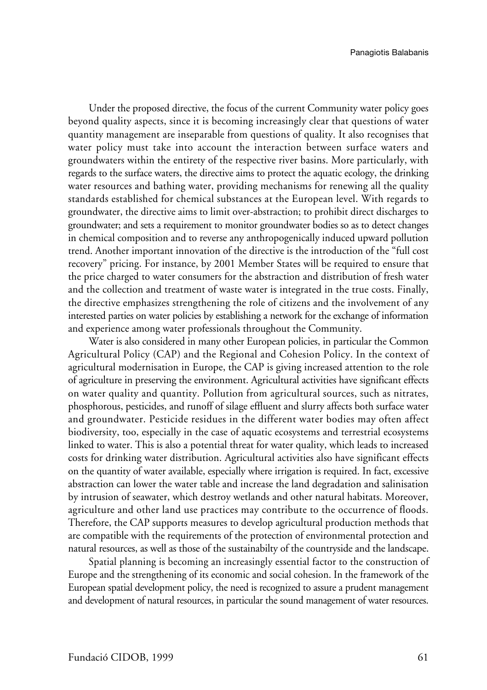Under the proposed directive, the focus of the current Community water policy goes beyond quality aspects, since it is becoming increasingly clear that questions of water quantity management are inseparable from questions of quality. It also recognises that water policy must take into account the interaction between surface waters and groundwaters within the entirety of the respective river basins. More particularly, with regards to the surface waters, the directive aims to protect the aquatic ecology, the drinking water resources and bathing water, providing mechanisms for renewing all the quality standards established for chemical substances at the European level. With regards to groundwater, the directive aims to limit over-abstraction; to prohibit direct discharges to groundwater; and sets a requirement to monitor groundwater bodies so as to detect changes in chemical composition and to reverse any anthropogenically induced upward pollution trend. Another important innovation of the directive is the introduction of the "full cost recovery" pricing. For instance, by 2001 Member States will be required to ensure that the price charged to water consumers for the abstraction and distribution of fresh water and the collection and treatment of waste water is integrated in the true costs. Finally, the directive emphasizes strengthening the role of citizens and the involvement of any interested parties on water policies by establishing a network for the exchange of information and experience among water professionals throughout the Community.

Water is also considered in many other European policies, in particular the Common Agricultural Policy (CAP) and the Regional and Cohesion Policy. In the context of agricultural modernisation in Europe, the CAP is giving increased attention to the role of agriculture in preserving the environment. Agricultural activities have significant effects on water quality and quantity. Pollution from agricultural sources, such as nitrates, phosphorous, pesticides, and runoff of silage effluent and slurry affects both surface water and groundwater. Pesticide residues in the different water bodies may often affect biodiversity, too, especially in the case of aquatic ecosystems and terrestrial ecosystems linked to water. This is also a potential threat for water quality, which leads to increased costs for drinking water distribution. Agricultural activities also have significant effects on the quantity of water available, especially where irrigation is required. In fact, excessive abstraction can lower the water table and increase the land degradation and salinisation by intrusion of seawater, which destroy wetlands and other natural habitats. Moreover, agriculture and other land use practices may contribute to the occurrence of floods. Therefore, the CAP supports measures to develop agricultural production methods that are compatible with the requirements of the protection of environmental protection and natural resources, as well as those of the sustainabilty of the countryside and the landscape.

Spatial planning is becoming an increasingly essential factor to the construction of Europe and the strengthening of its economic and social cohesion. In the framework of the European spatial development policy, the need is recognized to assure a prudent management and development of natural resources, in particular the sound management of water resources.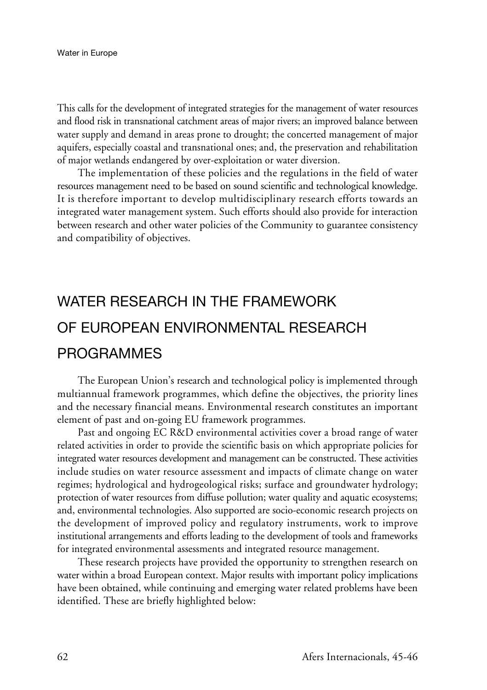This calls for the development of integrated strategies for the management of water resources and flood risk in transnational catchment areas of major rivers; an improved balance between water supply and demand in areas prone to drought; the concerted management of major aquifers, especially coastal and transnational ones; and, the preservation and rehabilitation of major wetlands endangered by over-exploitation or water diversion.

The implementation of these policies and the regulations in the field of water resources management need to be based on sound scientific and technological knowledge. It is therefore important to develop multidisciplinary research efforts towards an integrated water management system. Such efforts should also provide for interaction between research and other water policies of the Community to guarantee consistency and compatibility of objectives.

## WATER RESEARCH IN THE FRAMEWORK OF EUROPEAN ENVIRONMENTAL RESEARCH PROGRAMMES

The European Union's research and technological policy is implemented through multiannual framework programmes, which define the objectives, the priority lines and the necessary financial means. Environmental research constitutes an important element of past and on-going EU framework programmes.

Past and ongoing EC R&D environmental activities cover a broad range of water related activities in order to provide the scientific basis on which appropriate policies for integrated water resources development and management can be constructed. These activities include studies on water resource assessment and impacts of climate change on water regimes; hydrological and hydrogeological risks; surface and groundwater hydrology; protection of water resources from diffuse pollution; water quality and aquatic ecosystems; and, environmental technologies. Also supported are socio-economic research projects on the development of improved policy and regulatory instruments, work to improve institutional arrangements and efforts leading to the development of tools and frameworks for integrated environmental assessments and integrated resource management.

These research projects have provided the opportunity to strengthen research on water within a broad European context. Major results with important policy implications have been obtained, while continuing and emerging water related problems have been identified. These are briefly highlighted below: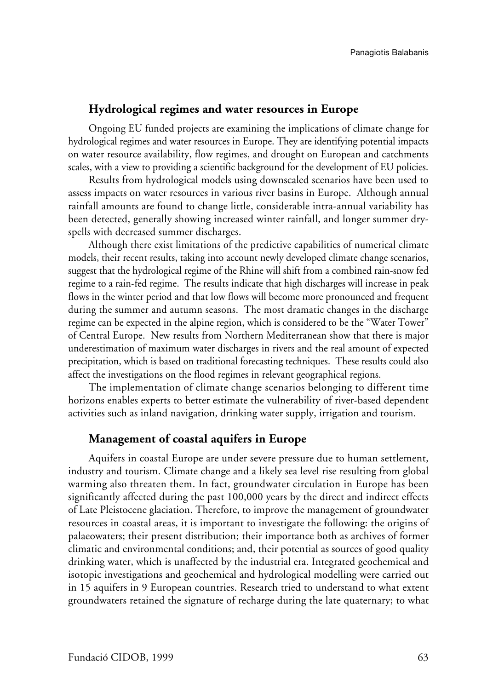### **Hydrological regimes and water resources in Europe**

Ongoing EU funded projects are examining the implications of climate change for hydrological regimes and water resources in Europe. They are identifying potential impacts on water resource availability, flow regimes, and drought on European and catchments scales, with a view to providing a scientific background for the development of EU policies.

Results from hydrological models using downscaled scenarios have been used to assess impacts on water resources in various river basins in Europe. Although annual rainfall amounts are found to change little, considerable intra-annual variability has been detected, generally showing increased winter rainfall, and longer summer dryspells with decreased summer discharges.

Although there exist limitations of the predictive capabilities of numerical climate models, their recent results, taking into account newly developed climate change scenarios, suggest that the hydrological regime of the Rhine will shift from a combined rain-snow fed regime to a rain-fed regime. The results indicate that high discharges will increase in peak flows in the winter period and that low flows will become more pronounced and frequent during the summer and autumn seasons. The most dramatic changes in the discharge regime can be expected in the alpine region, which is considered to be the "Water Tower" of Central Europe. New results from Northern Mediterranean show that there is major underestimation of maximum water discharges in rivers and the real amount of expected precipitation, which is based on traditional forecasting techniques. These results could also affect the investigations on the flood regimes in relevant geographical regions.

The implementation of climate change scenarios belonging to different time horizons enables experts to better estimate the vulnerability of river-based dependent activities such as inland navigation, drinking water supply, irrigation and tourism.

#### **Management of coastal aquifers in Europe**

Aquifers in coastal Europe are under severe pressure due to human settlement, industry and tourism. Climate change and a likely sea level rise resulting from global warming also threaten them. In fact, groundwater circulation in Europe has been significantly affected during the past 100,000 years by the direct and indirect effects of Late Pleistocene glaciation. Therefore, to improve the management of groundwater resources in coastal areas, it is important to investigate the following: the origins of palaeowaters; their present distribution; their importance both as archives of former climatic and environmental conditions; and, their potential as sources of good quality drinking water, which is unaffected by the industrial era. Integrated geochemical and isotopic investigations and geochemical and hydrological modelling were carried out in 15 aquifers in 9 European countries. Research tried to understand to what extent groundwaters retained the signature of recharge during the late quaternary; to what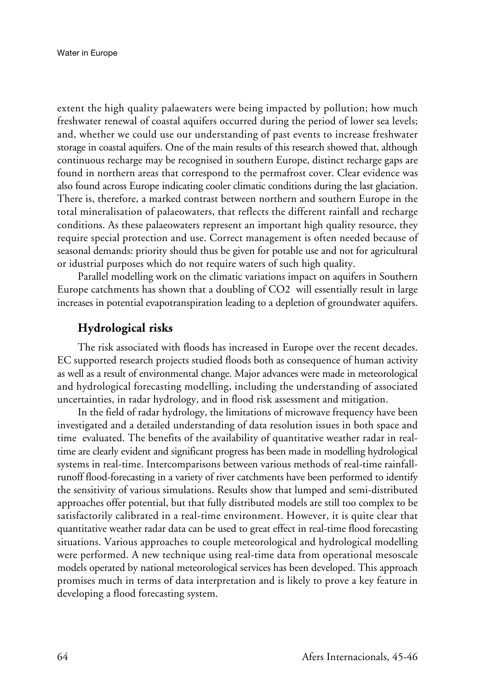extent the high quality palaewaters were being impacted by pollution; how much freshwater renewal of coastal aquifers occurred during the period of lower sea levels; and, whether we could use our understanding of past events to increase freshwater storage in coastal aquifers. One of the main results of this research showed that, although continuous recharge may be recognised in southern Europe, distinct recharge gaps are found in northern areas that correspond to the permafrost cover. Clear evidence was also found across Europe indicating cooler climatic conditions during the last glaciation. There is, therefore, a marked contrast between northern and southern Europe in the total mineralisation of palaeowaters, that reflects the different rainfall and recharge conditions. As these palaeowaters represent an important high quality resource, they require special protection and use. Correct management is often needed because of seasonal demands: priority should thus be given for potable use and not for agricultural or idustrial purposes which do not require waters of such high quality.

Parallel modelling work on the climatic variations impact on aquifers in Southern Europe catchments has shown that a doubling of CO2 will essentially result in large increases in potential evapotranspiration leading to a depletion of groundwater aquifers.

### **Hydrological risks**

The risk associated with floods has increased in Europe over the recent decades. EC supported research projects studied floods both as consequence of human activity as well as a result of environmental change. Major advances were made in meteorological and hydrological forecasting modelling, including the understanding of associated uncertainties, in radar hydrology, and in flood risk assessment and mitigation.

In the field of radar hydrology, the limitations of microwave frequency have been investigated and a detailed understanding of data resolution issues in both space and time evaluated. The benefits of the availability of quantitative weather radar in realtime are clearly evident and significant progress has been made in modelling hydrological systems in real-time. Intercomparisons between various methods of real-time rainfallrunoff flood-forecasting in a variety of river catchments have been performed to identify the sensitivity of various simulations. Results show that lumped and semi-distributed approaches offer potential, but that fully distributed models are still too complex to be satisfactorily calibrated in a real-time environment. However, it is quite clear that quantitative weather radar data can be used to great effect in real-time flood forecasting situations. Various approaches to couple meteorological and hydrological modelling were performed. A new technique using real-time data from operational mesoscale models operated by national meteorological services has been developed. This approach promises much in terms of data interpretation and is likely to prove a key feature in developing a flood forecasting system.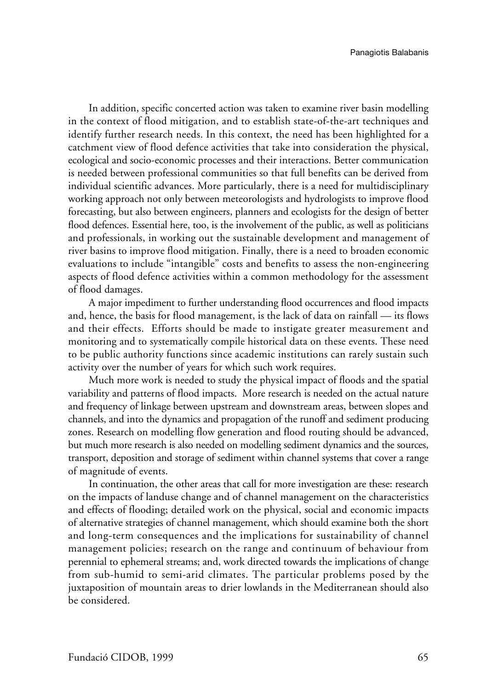In addition, specific concerted action was taken to examine river basin modelling in the context of flood mitigation, and to establish state-of-the-art techniques and identify further research needs. In this context, the need has been highlighted for a catchment view of flood defence activities that take into consideration the physical, ecological and socio-economic processes and their interactions. Better communication is needed between professional communities so that full benefits can be derived from individual scientific advances. More particularly, there is a need for multidisciplinary working approach not only between meteorologists and hydrologists to improve flood forecasting, but also between engineers, planners and ecologists for the design of better flood defences. Essential here, too, is the involvement of the public, as well as politicians and professionals, in working out the sustainable development and management of river basins to improve flood mitigation. Finally, there is a need to broaden economic evaluations to include "intangible" costs and benefits to assess the non-engineering aspects of flood defence activities within a common methodology for the assessment of flood damages.

A major impediment to further understanding flood occurrences and flood impacts and, hence, the basis for flood management, is the lack of data on rainfall — its flows and their effects. Efforts should be made to instigate greater measurement and monitoring and to systematically compile historical data on these events. These need to be public authority functions since academic institutions can rarely sustain such activity over the number of years for which such work requires.

Much more work is needed to study the physical impact of floods and the spatial variability and patterns of flood impacts. More research is needed on the actual nature and frequency of linkage between upstream and downstream areas, between slopes and channels, and into the dynamics and propagation of the runoff and sediment producing zones. Research on modelling flow generation and flood routing should be advanced, but much more research is also needed on modelling sediment dynamics and the sources, transport, deposition and storage of sediment within channel systems that cover a range of magnitude of events.

In continuation, the other areas that call for more investigation are these: research on the impacts of landuse change and of channel management on the characteristics and effects of flooding; detailed work on the physical, social and economic impacts of alternative strategies of channel management, which should examine both the short and long-term consequences and the implications for sustainability of channel management policies; research on the range and continuum of behaviour from perennial to ephemeral streams; and, work directed towards the implications of change from sub-humid to semi-arid climates. The particular problems posed by the juxtaposition of mountain areas to drier lowlands in the Mediterranean should also be considered.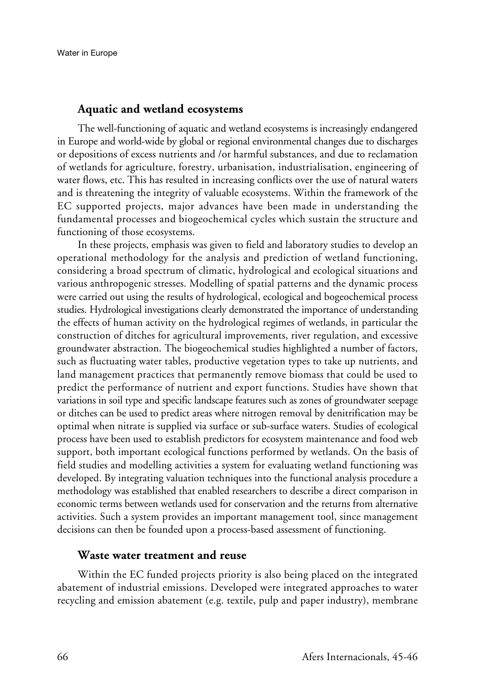#### **Aquatic and wetland ecosystems**

The well-functioning of aquatic and wetland ecosystems is increasingly endangered in Europe and world-wide by global or regional environmental changes due to discharges or depositions of excess nutrients and /or harmful substances, and due to reclamation of wetlands for agriculture, forestry, urbanisation, industrialisation, engineering of water flows, etc. This has resulted in increasing conflicts over the use of natural waters and is threatening the integrity of valuable ecosystems. Within the framework of the EC supported projects, major advances have been made in understanding the fundamental processes and biogeochemical cycles which sustain the structure and functioning of those ecosystems.

In these projects, emphasis was given to field and laboratory studies to develop an operational methodology for the analysis and prediction of wetland functioning, considering a broad spectrum of climatic, hydrological and ecological situations and various anthropogenic stresses. Modelling of spatial patterns and the dynamic process were carried out using the results of hydrological, ecological and bogeochemical process studies. Hydrological investigations clearly demonstrated the importance of understanding the effects of human activity on the hydrological regimes of wetlands, in particular the construction of ditches for agricultural improvements, river regulation, and excessive groundwater abstraction. The biogeochemical studies highlighted a number of factors, such as fluctuating water tables, productive vegetation types to take up nutrients, and land management practices that permanently remove biomass that could be used to predict the performance of nutrient and export functions. Studies have shown that variations in soil type and specific landscape features such as zones of groundwater seepage or ditches can be used to predict areas where nitrogen removal by denitrification may be optimal when nitrate is supplied via surface or sub-surface waters. Studies of ecological process have been used to establish predictors for ecosystem maintenance and food web support, both important ecological functions performed by wetlands. On the basis of field studies and modelling activities a system for evaluating wetland functioning was developed. By integrating valuation techniques into the functional analysis procedure a methodology was established that enabled researchers to describe a direct comparison in economic terms between wetlands used for conservation and the returns from alternative activities. Such a system provides an important management tool, since management decisions can then be founded upon a process-based assessment of functioning.

#### **Waste water treatment and reuse**

Within the EC funded projects priority is also being placed on the integrated abatement of industrial emissions. Developed were integrated approaches to water recycling and emission abatement (e.g. textile, pulp and paper industry), membrane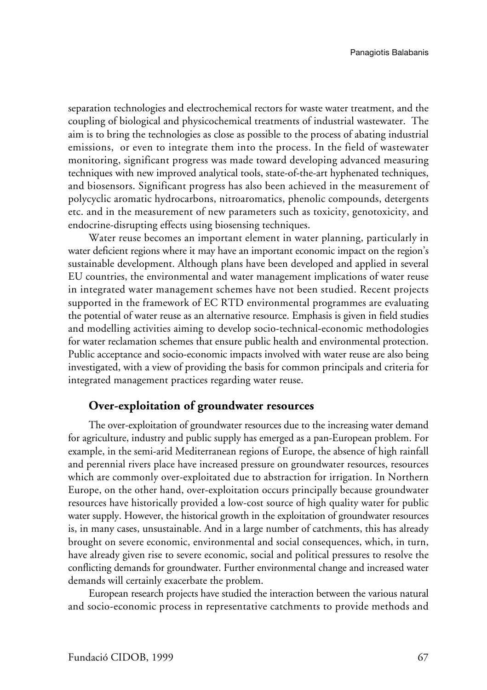separation technologies and electrochemical rectors for waste water treatment, and the coupling of biological and physicochemical treatments of industrial wastewater. The aim is to bring the technologies as close as possible to the process of abating industrial emissions, or even to integrate them into the process. In the field of wastewater monitoring, significant progress was made toward developing advanced measuring techniques with new improved analytical tools, state-of-the-art hyphenated techniques, and biosensors. Significant progress has also been achieved in the measurement of polycyclic aromatic hydrocarbons, nitroaromatics, phenolic compounds, detergents etc. and in the measurement of new parameters such as toxicity, genotoxicity, and endocrine-disrupting effects using biosensing techniques.

Water reuse becomes an important element in water planning, particularly in water deficient regions where it may have an important economic impact on the region's sustainable development. Although plans have been developed and applied in several EU countries, the environmental and water management implications of water reuse in integrated water management schemes have not been studied. Recent projects supported in the framework of EC RTD environmental programmes are evaluating the potential of water reuse as an alternative resource. Emphasis is given in field studies and modelling activities aiming to develop socio-technical-economic methodologies for water reclamation schemes that ensure public health and environmental protection. Public acceptance and socio-economic impacts involved with water reuse are also being investigated, with a view of providing the basis for common principals and criteria for integrated management practices regarding water reuse.

### **Over-exploitation of groundwater resources**

The over-exploitation of groundwater resources due to the increasing water demand for agriculture, industry and public supply has emerged as a pan-European problem. For example, in the semi-arid Mediterranean regions of Europe, the absence of high rainfall and perennial rivers place have increased pressure on groundwater resources, resources which are commonly over-exploitated due to abstraction for irrigation. In Northern Europe, on the other hand, over-exploitation occurs principally because groundwater resources have historically provided a low-cost source of high quality water for public water supply. However, the historical growth in the exploitation of groundwater resources is, in many cases, unsustainable. And in a large number of catchments, this has already brought on severe economic, environmental and social consequences, which, in turn, have already given rise to severe economic, social and political pressures to resolve the conflicting demands for groundwater. Further environmental change and increased water demands will certainly exacerbate the problem.

European research projects have studied the interaction between the various natural and socio-economic process in representative catchments to provide methods and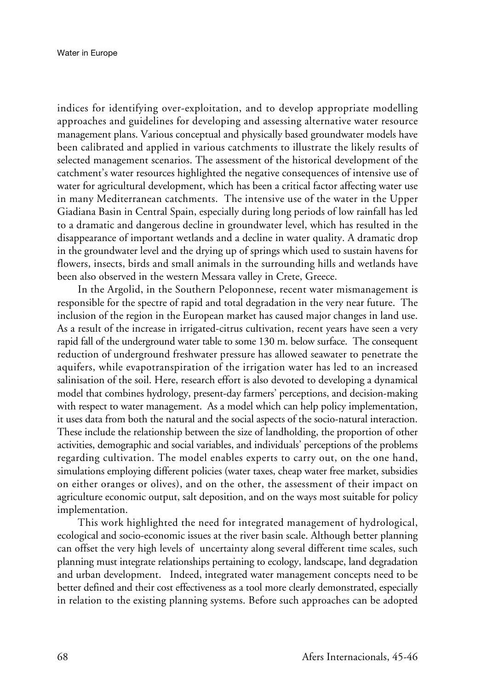indices for identifying over-exploitation, and to develop appropriate modelling approaches and guidelines for developing and assessing alternative water resource management plans. Various conceptual and physically based groundwater models have been calibrated and applied in various catchments to illustrate the likely results of selected management scenarios. The assessment of the historical development of the catchment's water resources highlighted the negative consequences of intensive use of water for agricultural development, which has been a critical factor affecting water use in many Mediterranean catchments. The intensive use of the water in the Upper Giadiana Basin in Central Spain, especially during long periods of low rainfall has led to a dramatic and dangerous decline in groundwater level, which has resulted in the disappearance of important wetlands and a decline in water quality. A dramatic drop in the groundwater level and the drying up of springs which used to sustain havens for flowers, insects, birds and small animals in the surrounding hills and wetlands have been also observed in the western Messara valley in Crete, Greece.

In the Argolid, in the Southern Peloponnese, recent water mismanagement is responsible for the spectre of rapid and total degradation in the very near future. The inclusion of the region in the European market has caused major changes in land use. As a result of the increase in irrigated-citrus cultivation, recent years have seen a very rapid fall of the underground water table to some 130 m. below surface. The consequent reduction of underground freshwater pressure has allowed seawater to penetrate the aquifers, while evapotranspiration of the irrigation water has led to an increased salinisation of the soil. Here, research effort is also devoted to developing a dynamical model that combines hydrology, present-day farmers' perceptions, and decision-making with respect to water management. As a model which can help policy implementation, it uses data from both the natural and the social aspects of the socio-natural interaction. These include the relationship between the size of landholding, the proportion of other activities, demographic and social variables, and individuals' perceptions of the problems regarding cultivation. The model enables experts to carry out, on the one hand, simulations employing different policies (water taxes, cheap water free market, subsidies on either oranges or olives), and on the other, the assessment of their impact on agriculture economic output, salt deposition, and on the ways most suitable for policy implementation.

This work highlighted the need for integrated management of hydrological, ecological and socio-economic issues at the river basin scale. Although better planning can offset the very high levels of uncertainty along several different time scales, such planning must integrate relationships pertaining to ecology, landscape, land degradation and urban development. Indeed, integrated water management concepts need to be better defined and their cost effectiveness as a tool more clearly demonstrated, especially in relation to the existing planning systems. Before such approaches can be adopted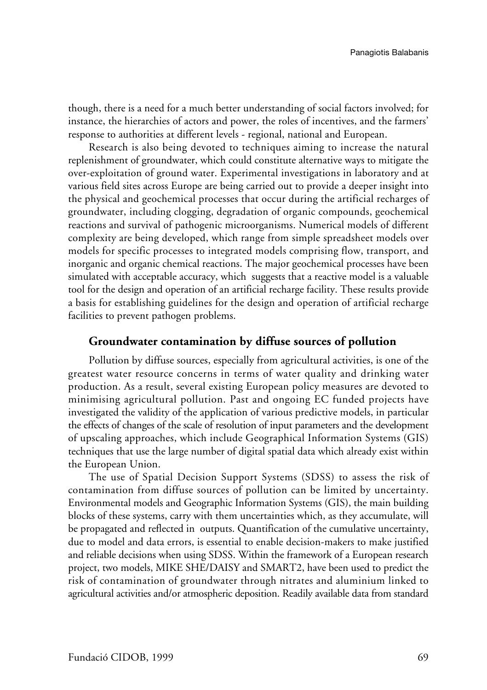though, there is a need for a much better understanding of social factors involved; for instance, the hierarchies of actors and power, the roles of incentives, and the farmers' response to authorities at different levels - regional, national and European.

Research is also being devoted to techniques aiming to increase the natural replenishment of groundwater, which could constitute alternative ways to mitigate the over-exploitation of ground water. Experimental investigations in laboratory and at various field sites across Europe are being carried out to provide a deeper insight into the physical and geochemical processes that occur during the artificial recharges of groundwater, including clogging, degradation of organic compounds, geochemical reactions and survival of pathogenic microorganisms. Numerical models of different complexity are being developed, which range from simple spreadsheet models over models for specific processes to integrated models comprising flow, transport, and inorganic and organic chemical reactions. The major geochemical processes have been simulated with acceptable accuracy, which suggests that a reactive model is a valuable tool for the design and operation of an artificial recharge facility. These results provide a basis for establishing guidelines for the design and operation of artificial recharge facilities to prevent pathogen problems.

### **Groundwater contamination by diffuse sources of pollution**

Pollution by diffuse sources, especially from agricultural activities, is one of the greatest water resource concerns in terms of water quality and drinking water production. As a result, several existing European policy measures are devoted to minimising agricultural pollution. Past and ongoing EC funded projects have investigated the validity of the application of various predictive models, in particular the effects of changes of the scale of resolution of input parameters and the development of upscaling approaches, which include Geographical Information Systems (GIS) techniques that use the large number of digital spatial data which already exist within the European Union.

The use of Spatial Decision Support Systems (SDSS) to assess the risk of contamination from diffuse sources of pollution can be limited by uncertainty. Environmental models and Geographic Information Systems (GIS), the main building blocks of these systems, carry with them uncertainties which, as they accumulate, will be propagated and reflected in outputs. Quantification of the cumulative uncertainty, due to model and data errors, is essential to enable decision-makers to make justified and reliable decisions when using SDSS. Within the framework of a European research project, two models, MIKE SHE/DAISY and SMART2, have been used to predict the risk of contamination of groundwater through nitrates and aluminium linked to agricultural activities and/or atmospheric deposition. Readily available data from standard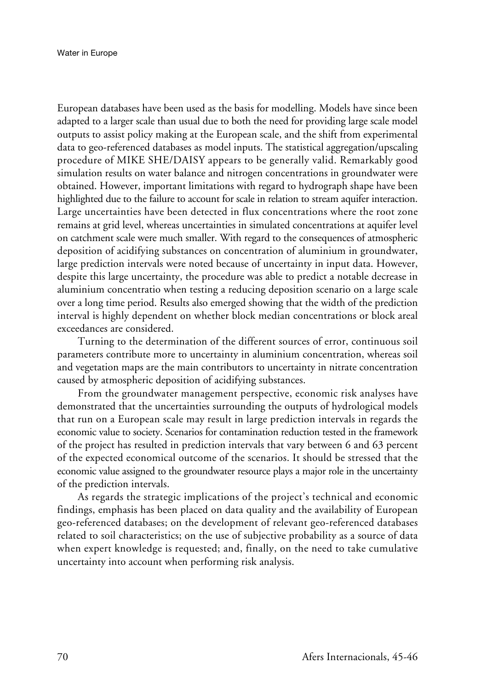European databases have been used as the basis for modelling. Models have since been adapted to a larger scale than usual due to both the need for providing large scale model outputs to assist policy making at the European scale, and the shift from experimental data to geo-referenced databases as model inputs. The statistical aggregation/upscaling procedure of MIKE SHE/DAISY appears to be generally valid. Remarkably good simulation results on water balance and nitrogen concentrations in groundwater were obtained. However, important limitations with regard to hydrograph shape have been highlighted due to the failure to account for scale in relation to stream aquifer interaction. Large uncertainties have been detected in flux concentrations where the root zone remains at grid level, whereas uncertainties in simulated concentrations at aquifer level on catchment scale were much smaller. With regard to the consequences of atmospheric deposition of acidifying substances on concentration of aluminium in groundwater, large prediction intervals were noted because of uncertainty in input data. However, despite this large uncertainty, the procedure was able to predict a notable decrease in aluminium concentratio when testing a reducing deposition scenario on a large scale over a long time period. Results also emerged showing that the width of the prediction interval is highly dependent on whether block median concentrations or block areal exceedances are considered.

Turning to the determination of the different sources of error, continuous soil parameters contribute more to uncertainty in aluminium concentration, whereas soil and vegetation maps are the main contributors to uncertainty in nitrate concentration caused by atmospheric deposition of acidifying substances.

From the groundwater management perspective, economic risk analyses have demonstrated that the uncertainties surrounding the outputs of hydrological models that run on a European scale may result in large prediction intervals in regards the economic value to society. Scenarios for contamination reduction tested in the framework of the project has resulted in prediction intervals that vary between 6 and 63 percent of the expected economical outcome of the scenarios. It should be stressed that the economic value assigned to the groundwater resource plays a major role in the uncertainty of the prediction intervals.

As regards the strategic implications of the project's technical and economic findings, emphasis has been placed on data quality and the availability of European geo-referenced databases; on the development of relevant geo-referenced databases related to soil characteristics; on the use of subjective probability as a source of data when expert knowledge is requested; and, finally, on the need to take cumulative uncertainty into account when performing risk analysis.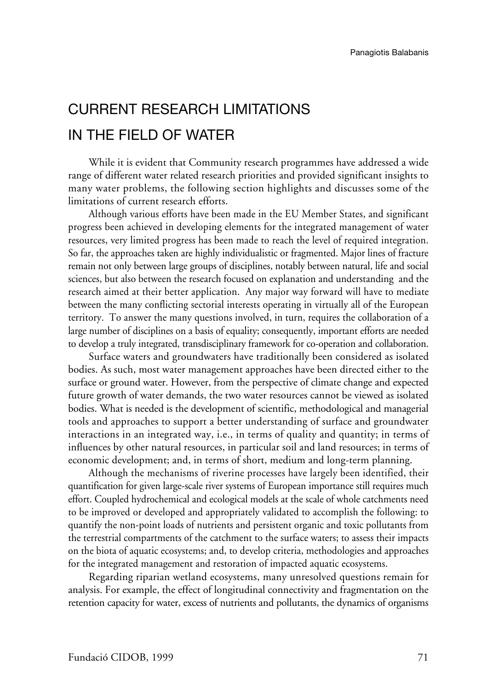### CURRENT RESEARCH LIMITATIONS IN THE FIELD OF WATER

While it is evident that Community research programmes have addressed a wide range of different water related research priorities and provided significant insights to many water problems, the following section highlights and discusses some of the limitations of current research efforts.

Although various efforts have been made in the EU Member States, and significant progress been achieved in developing elements for the integrated management of water resources, very limited progress has been made to reach the level of required integration. So far, the approaches taken are highly individualistic or fragmented. Major lines of fracture remain not only between large groups of disciplines, notably between natural, life and social sciences, but also between the research focused on explanation and understanding and the research aimed at their better application. Any major way forward will have to mediate between the many conflicting sectorial interests operating in virtually all of the European territory. To answer the many questions involved, in turn, requires the collaboration of a large number of disciplines on a basis of equality; consequently, important efforts are needed to develop a truly integrated, transdisciplinary framework for co-operation and collaboration.

Surface waters and groundwaters have traditionally been considered as isolated bodies. As such, most water management approaches have been directed either to the surface or ground water. However, from the perspective of climate change and expected future growth of water demands, the two water resources cannot be viewed as isolated bodies. What is needed is the development of scientific, methodological and managerial tools and approaches to support a better understanding of surface and groundwater interactions in an integrated way, i.e., in terms of quality and quantity; in terms of influences by other natural resources, in particular soil and land resources; in terms of economic development; and, in terms of short, medium and long-term planning.

Although the mechanisms of riverine processes have largely been identified, their quantification for given large-scale river systems of European importance still requires much effort. Coupled hydrochemical and ecological models at the scale of whole catchments need to be improved or developed and appropriately validated to accomplish the following: to quantify the non-point loads of nutrients and persistent organic and toxic pollutants from the terrestrial compartments of the catchment to the surface waters; to assess their impacts on the biota of aquatic ecosystems; and, to develop criteria, methodologies and approaches for the integrated management and restoration of impacted aquatic ecosystems.

Regarding riparian wetland ecosystems, many unresolved questions remain for analysis. For example, the effect of longitudinal connectivity and fragmentation on the retention capacity for water, excess of nutrients and pollutants, the dynamics of organisms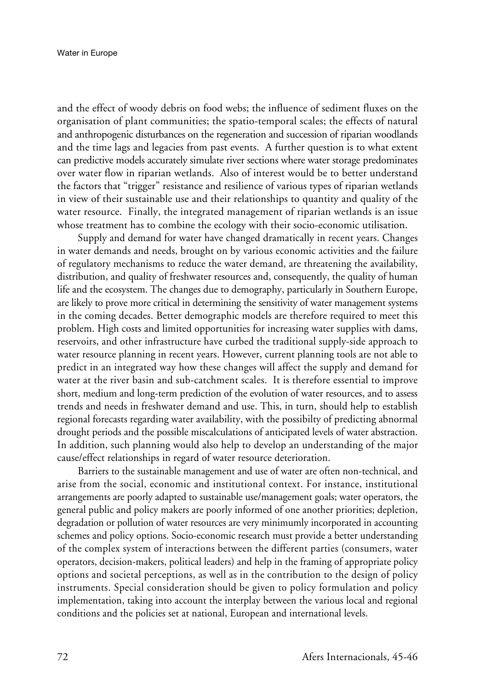and the effect of woody debris on food webs; the influence of sediment fluxes on the organisation of plant communities; the spatio-temporal scales; the effects of natural and anthropogenic disturbances on the regeneration and succession of riparian woodlands and the time lags and legacies from past events. A further question is to what extent can predictive models accurately simulate river sections where water storage predominates over water flow in riparian wetlands. Also of interest would be to better understand the factors that "trigger" resistance and resilience of various types of riparian wetlands in view of their sustainable use and their relationships to quantity and quality of the water resource. Finally, the integrated management of riparian wetlands is an issue whose treatment has to combine the ecology with their socio-economic utilisation.

Supply and demand for water have changed dramatically in recent years. Changes in water demands and needs, brought on by various economic activities and the failure of regulatory mechanisms to reduce the water demand, are threatening the availability, distribution, and quality of freshwater resources and, consequently, the quality of human life and the ecosystem. The changes due to demography, particularly in Southern Europe, are likely to prove more critical in determining the sensitivity of water management systems in the coming decades. Better demographic models are therefore required to meet this problem. High costs and limited opportunities for increasing water supplies with dams, reservoirs, and other infrastructure have curbed the traditional supply-side approach to water resource planning in recent years. However, current planning tools are not able to predict in an integrated way how these changes will affect the supply and demand for water at the river basin and sub-catchment scales. It is therefore essential to improve short, medium and long-term prediction of the evolution of water resources, and to assess trends and needs in freshwater demand and use. This, in turn, should help to establish regional forecasts regarding water availability, with the possibilty of predicting abnormal drought periods and the possible miscalculations of anticipated levels of water abstraction. In addition, such planning would also help to develop an understanding of the major cause/effect relationships in regard of water resource deterioration.

Barriers to the sustainable management and use of water are often non-technical, and arise from the social, economic and institutional context. For instance, institutional arrangements are poorly adapted to sustainable use/management goals; water operators, the general public and policy makers are poorly informed of one another priorities; depletion, degradation or pollution of water resources are very minimumly incorporated in accounting schemes and policy options. Socio-economic research must provide a better understanding of the complex system of interactions between the different parties (consumers, water operators, decision-makers, political leaders) and help in the framing of appropriate policy options and societal perceptions, as well as in the contribution to the design of policy instruments. Special consideration should be given to policy formulation and policy implementation, taking into account the interplay between the various local and regional conditions and the policies set at national, European and international levels.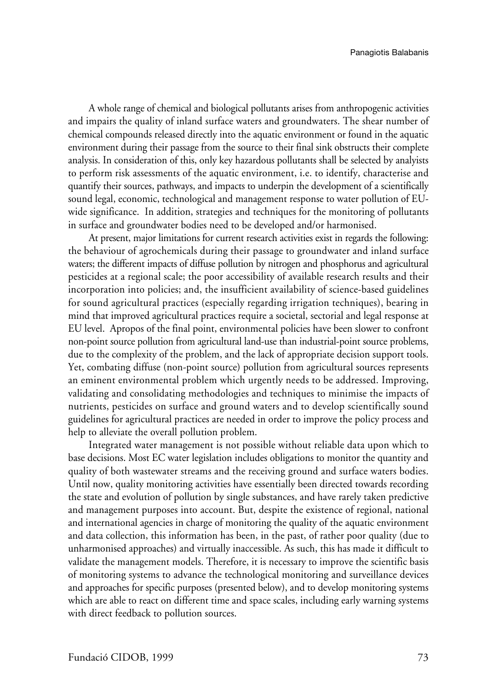A whole range of chemical and biological pollutants arises from anthropogenic activities and impairs the quality of inland surface waters and groundwaters. The shear number of chemical compounds released directly into the aquatic environment or found in the aquatic environment during their passage from the source to their final sink obstructs their complete analysis. In consideration of this, only key hazardous pollutants shall be selected by analyists to perform risk assessments of the aquatic environment, i.e. to identify, characterise and quantify their sources, pathways, and impacts to underpin the development of a scientifically sound legal, economic, technological and management response to water pollution of EUwide significance. In addition, strategies and techniques for the monitoring of pollutants in surface and groundwater bodies need to be developed and/or harmonised.

At present, major limitations for current research activities exist in regards the following: the behaviour of agrochemicals during their passage to groundwater and inland surface waters; the different impacts of diffuse pollution by nitrogen and phosphorus and agricultural pesticides at a regional scale; the poor accessibility of available research results and their incorporation into policies; and, the insufficient availability of science-based guidelines for sound agricultural practices (especially regarding irrigation techniques), bearing in mind that improved agricultural practices require a societal, sectorial and legal response at EU level. Apropos of the final point, environmental policies have been slower to confront non-point source pollution from agricultural land-use than industrial-point source problems, due to the complexity of the problem, and the lack of appropriate decision support tools. Yet, combating diffuse (non-point source) pollution from agricultural sources represents an eminent environmental problem which urgently needs to be addressed. Improving, validating and consolidating methodologies and techniques to minimise the impacts of nutrients, pesticides on surface and ground waters and to develop scientifically sound guidelines for agricultural practices are needed in order to improve the policy process and help to alleviate the overall pollution problem.

Integrated water management is not possible without reliable data upon which to base decisions. Most EC water legislation includes obligations to monitor the quantity and quality of both wastewater streams and the receiving ground and surface waters bodies. Until now, quality monitoring activities have essentially been directed towards recording the state and evolution of pollution by single substances, and have rarely taken predictive and management purposes into account. But, despite the existence of regional, national and international agencies in charge of monitoring the quality of the aquatic environment and data collection, this information has been, in the past, of rather poor quality (due to unharmonised approaches) and virtually inaccessible. As such, this has made it difficult to validate the management models. Therefore, it is necessary to improve the scientific basis of monitoring systems to advance the technological monitoring and surveillance devices and approaches for specific purposes (presented below), and to develop monitoring systems which are able to react on different time and space scales, including early warning systems with direct feedback to pollution sources.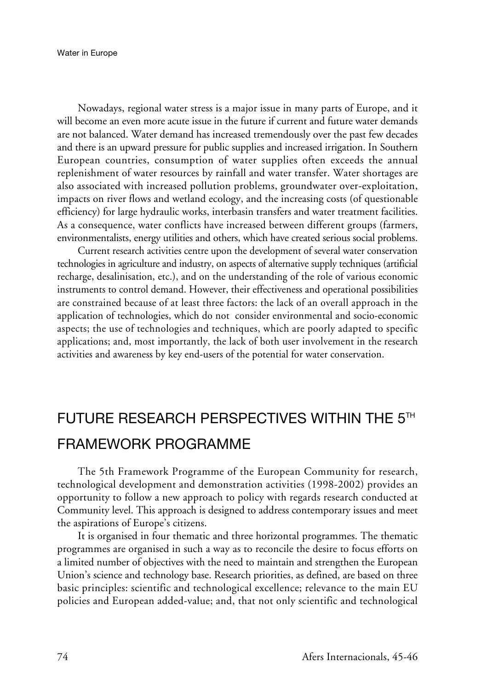Nowadays, regional water stress is a major issue in many parts of Europe, and it will become an even more acute issue in the future if current and future water demands are not balanced. Water demand has increased tremendously over the past few decades and there is an upward pressure for public supplies and increased irrigation. In Southern European countries, consumption of water supplies often exceeds the annual replenishment of water resources by rainfall and water transfer. Water shortages are also associated with increased pollution problems, groundwater over-exploitation, impacts on river flows and wetland ecology, and the increasing costs (of questionable efficiency) for large hydraulic works, interbasin transfers and water treatment facilities. As a consequence, water conflicts have increased between different groups (farmers, environmentalists, energy utilities and others, which have created serious social problems.

Current research activities centre upon the development of several water conservation technologies in agriculture and industry, on aspects of alternative supply techniques (artificial recharge, desalinisation, etc.), and on the understanding of the role of various economic instruments to control demand. However, their effectiveness and operational possibilities are constrained because of at least three factors: the lack of an overall approach in the application of technologies, which do not consider environmental and socio-economic aspects; the use of technologies and techniques, which are poorly adapted to specific applications; and, most importantly, the lack of both user involvement in the research activities and awareness by key end-users of the potential for water conservation.

### FUTURE RESEARCH PERSPECTIVES WITHIN THE 5TH FRAMEWORK PROGRAMME

The 5th Framework Programme of the European Community for research, technological development and demonstration activities (1998-2002) provides an opportunity to follow a new approach to policy with regards research conducted at Community level. This approach is designed to address contemporary issues and meet the aspirations of Europe's citizens.

It is organised in four thematic and three horizontal programmes. The thematic programmes are organised in such a way as to reconcile the desire to focus efforts on a limited number of objectives with the need to maintain and strengthen the European Union's science and technology base. Research priorities, as defined, are based on three basic principles: scientific and technological excellence; relevance to the main EU policies and European added-value; and, that not only scientific and technological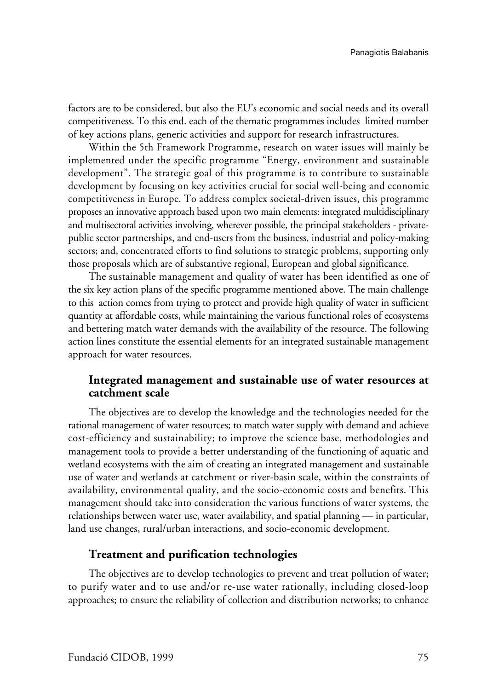factors are to be considered, but also the EU's economic and social needs and its overall competitiveness. To this end. each of the thematic programmes includes limited number of key actions plans, generic activities and support for research infrastructures.

Within the 5th Framework Programme, research on water issues will mainly be implemented under the specific programme "Energy, environment and sustainable development". The strategic goal of this programme is to contribute to sustainable development by focusing on key activities crucial for social well-being and economic competitiveness in Europe. To address complex societal-driven issues, this programme proposes an innovative approach based upon two main elements: integrated multidisciplinary and multisectoral activities involving, wherever possible, the principal stakeholders - privatepublic sector partnerships, and end-users from the business, industrial and policy-making sectors; and, concentrated efforts to find solutions to strategic problems, supporting only those proposals which are of substantive regional, European and global significance.

The sustainable management and quality of water has been identified as one of the six key action plans of the specific programme mentioned above. The main challenge to this action comes from trying to protect and provide high quality of water in sufficient quantity at affordable costs, while maintaining the various functional roles of ecosystems and bettering match water demands with the availability of the resource. The following action lines constitute the essential elements for an integrated sustainable management approach for water resources.

### **Integrated management and sustainable use of water resources at catchment scale**

The objectives are to develop the knowledge and the technologies needed for the rational management of water resources; to match water supply with demand and achieve cost-efficiency and sustainability; to improve the science base, methodologies and management tools to provide a better understanding of the functioning of aquatic and wetland ecosystems with the aim of creating an integrated management and sustainable use of water and wetlands at catchment or river-basin scale, within the constraints of availability, environmental quality, and the socio-economic costs and benefits. This management should take into consideration the various functions of water systems, the relationships between water use, water availability, and spatial planning — in particular, land use changes, rural/urban interactions, and socio-economic development.

### **Treatment and purification technologies**

The objectives are to develop technologies to prevent and treat pollution of water; to purify water and to use and/or re-use water rationally, including closed-loop approaches; to ensure the reliability of collection and distribution networks; to enhance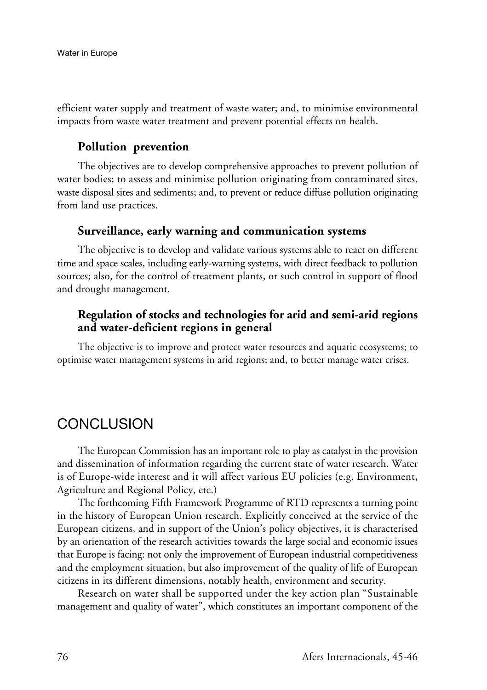efficient water supply and treatment of waste water; and, to minimise environmental impacts from waste water treatment and prevent potential effects on health.

### **Pollution prevention**

The objectives are to develop comprehensive approaches to prevent pollution of water bodies; to assess and minimise pollution originating from contaminated sites, waste disposal sites and sediments; and, to prevent or reduce diffuse pollution originating from land use practices.

### **Surveillance, early warning and communication systems**

The objective is to develop and validate various systems able to react on different time and space scales, including early-warning systems, with direct feedback to pollution sources; also, for the control of treatment plants, or such control in support of flood and drought management.

### **Regulation of stocks and technologies for arid and semi-arid regions and water-deficient regions in general**

The objective is to improve and protect water resources and aquatic ecosystems; to optimise water management systems in arid regions; and, to better manage water crises.

### **CONCLUSION**

The European Commission has an important role to play as catalyst in the provision and dissemination of information regarding the current state of water research. Water is of Europe-wide interest and it will affect various EU policies (e.g. Environment, Agriculture and Regional Policy, etc.)

The forthcoming Fifth Framework Programme of RTD represents a turning point in the history of European Union research. Explicitly conceived at the service of the European citizens, and in support of the Union's policy objectives, it is characterised by an orientation of the research activities towards the large social and economic issues that Europe is facing: not only the improvement of European industrial competitiveness and the employment situation, but also improvement of the quality of life of European citizens in its different dimensions, notably health, environment and security.

Research on water shall be supported under the key action plan "Sustainable management and quality of water", which constitutes an important component of the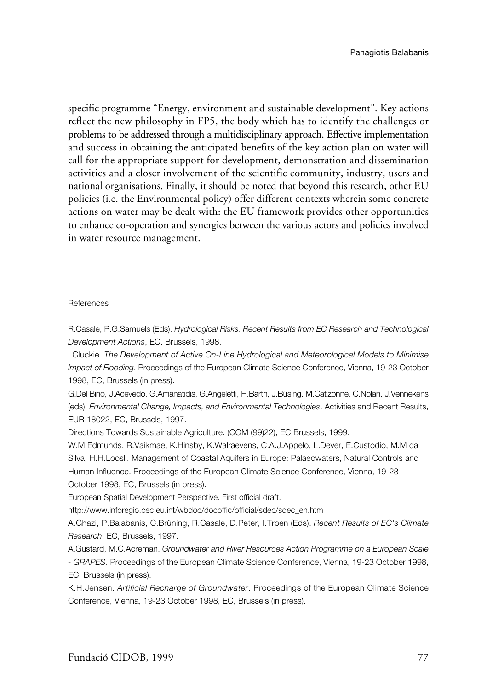specific programme "Energy, environment and sustainable development". Key actions reflect the new philosophy in FP5, the body which has to identify the challenges or problems to be addressed through a multidisciplinary approach. Effective implementation and success in obtaining the anticipated benefits of the key action plan on water will call for the appropriate support for development, demonstration and dissemination activities and a closer involvement of the scientific community, industry, users and national organisations. Finally, it should be noted that beyond this research, other EU policies (i.e. the Environmental policy) offer different contexts wherein some concrete actions on water may be dealt with: the EU framework provides other opportunities to enhance co-operation and synergies between the various actors and policies involved in water resource management.

#### **References**

R.Casale, P.G.Samuels (Eds). *Hydrological Risks. Recent Results from EC Research and Technological Development Actions*, EC, Brussels, 1998.

I.Cluckie. *The Development of Active On-Line Hydrological and Meteorological Models to Minimise Impact of Flooding*. Proceedings of the European Climate Science Conference, Vienna, 19-23 October 1998, EC, Brussels (in press).

G.Del Bino, J.Acevedo, G.Amanatidis, G.Angeletti, H.Barth, J.Büsing, M.Catizonne, C.Nolan, J.Vennekens (eds), *Environmental Change, Impacts, and Environmental Technologies*. Activities and Recent Results, EUR 18022, EC, Brussels, 1997.

Directions Towards Sustainable Agriculture. (COM (99)22), EC Brussels, 1999.

W.M.Edmunds, R.Vaikmae, K.Hinsby, K.Walraevens, C.A.J.Appelo, L.Dever, E.Custodio, M.M da Silva, H.H.Loosli. Management of Coastal Aquifers in Europe: Palaeowaters, Natural Controls and Human Influence. Proceedings of the European Climate Science Conference, Vienna, 19-23 October 1998, EC, Brussels (in press).

European Spatial Development Perspective. First official draft.

http://www.inforegio.cec.eu.int/wbdoc/docoffic/official/sdec/sdec\_en.htm

A.Ghazi, P.Balabanis, C.Brüning, R.Casale, D.Peter, I.Troen (Eds). *Recent Results of EC's Climate Research*, EC, Brussels, 1997.

A.Gustard, M.C.Acreman. *Groundwater and River Resources Action Programme on a European Scale - GRAPES*. Proceedings of the European Climate Science Conference, Vienna, 19-23 October 1998, EC, Brussels (in press).

K.H.Jensen. *Artificial Recharge of Groundwater*. Proceedings of the European Climate Science Conference, Vienna, 19-23 October 1998, EC, Brussels (in press).